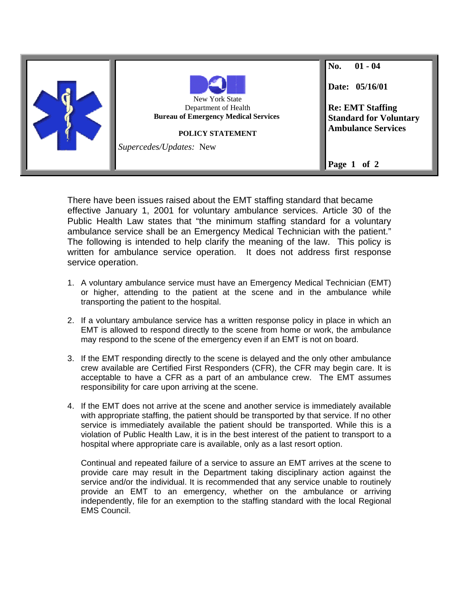

There have been issues raised about the EMT staffing standard that became effective January 1, 2001 for voluntary ambulance services. Article 30 of the Public Health Law states that "the minimum staffing standard for a voluntary ambulance service shall be an Emergency Medical Technician with the patient." The following is intended to help clarify the meaning of the law. This policy is written for ambulance service operation. It does not address first response service operation.

- 1. A voluntary ambulance service must have an Emergency Medical Technician (EMT) or higher, attending to the patient at the scene and in the ambulance while transporting the patient to the hospital.
- 2. If a voluntary ambulance service has a written response policy in place in which an EMT is allowed to respond directly to the scene from home or work, the ambulance may respond to the scene of the emergency even if an EMT is not on board.
- 3. If the EMT responding directly to the scene is delayed and the only other ambulance crew available are Certified First Responders (CFR), the CFR may begin care. It is acceptable to have a CFR as a part of an ambulance crew. The EMT assumes responsibility for care upon arriving at the scene.
- 4. If the EMT does not arrive at the scene and another service is immediately available with appropriate staffing, the patient should be transported by that service. If no other service is immediately available the patient should be transported. While this is a violation of Public Health Law, it is in the best interest of the patient to transport to a hospital where appropriate care is available, only as a last resort option.

Continual and repeated failure of a service to assure an EMT arrives at the scene to provide care may result in the Department taking disciplinary action against the service and/or the individual. It is recommended that any service unable to routinely provide an EMT to an emergency, whether on the ambulance or arriving independently, file for an exemption to the staffing standard with the local Regional EMS Council.